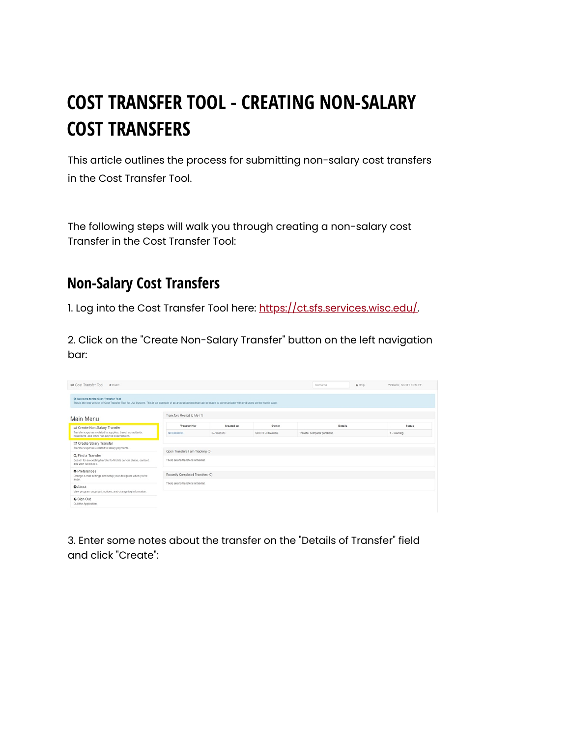## **COST TRANSFER TOOL - CREATING NON-SALARY COST TRANSFERS**

This article outlines the process for submitting non-salary cost transfers in the Cost Transfer Tool.

The following steps will walk you through creating a non-salary cost Transfer in the Cost Transfer Tool:

## **Non-Salary Cost Transfers**

1. Log into the Cost Transfer Tool here: [https://ct.sfs.services.wisc.edu/.](https://ct.sfs.services.wisc.edu/)

2. Click on the "Create Non-Salary Transfer" button on the left navigation bar:

| <b><math>\rightleftharpoons</math></b> Cost Transfer Tool<br># Home                                                                                                                                         |                                                                          |            |                | Transfer #                  | @ Help | Welcome, SCOTT KRAUSE |
|-------------------------------------------------------------------------------------------------------------------------------------------------------------------------------------------------------------|--------------------------------------------------------------------------|------------|----------------|-----------------------------|--------|-----------------------|
| @ Welcome to the Cost Transfer Tool<br>This is the test version of Cost Transfer Tool for UW-System. This is an example of an announcement that can be made to communicate with end-users on the home page. |                                                                          |            |                |                             |        |                       |
| Main Menu                                                                                                                                                                                                   | Transfers Routed to Me (1)                                               |            |                |                             |        |                       |
| Create Non-Salary Transfer                                                                                                                                                                                  | <b>Transfer Nbr</b>                                                      | Created on | Owner          | <b>Details</b>              |        | <b>Status</b>         |
| Transfer expenses related to supplies, travel, consultants,<br>equipment, and other non-payroll expenditures.                                                                                               | NT00000033                                                               | 04/10/2020 | SCOTT J KRAUSE | Transfer computer purchase. |        | 1 - Working           |
| Create Salary Transfer<br>Transfer expenses related to salary payments.                                                                                                                                     |                                                                          |            |                |                             |        |                       |
| Q Find a Transfer<br>Search for an existing transfer to find its current status, content,<br>and view full history.                                                                                         | Open Transfers I am Tracking (0)<br>There are no transfers in this list. |            |                |                             |        |                       |
| <b>O</b> Preferences<br>Change e-mail settings and setup your delegates when you're<br>away.                                                                                                                | Recently Completed Transfers (0)                                         |            |                |                             |        |                       |
| <b>Q</b> About<br>View program copyright, notices, and change log information.                                                                                                                              | There are no transfers in this list                                      |            |                |                             |        |                       |
| ← Sign Out<br>Quit the Application.                                                                                                                                                                         |                                                                          |            |                |                             |        |                       |

3. Enter some notes about the transfer on the "Details of Transfer" field and click "Create":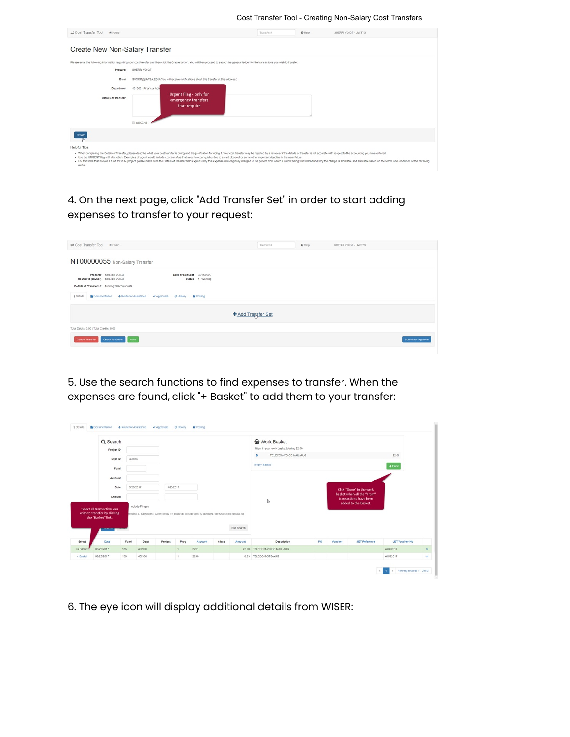Cost Transfer Tool - Creating Non-Salary Cost Transfers

| Cost Transfer Tool<br># Home                            |                                                             |                                                                                                                                                                                                                                                                                                                                                                                                                                | Transfer # | @ Help | SHERRI VOIGT - UWSYS                                                                                                                                                                                                          |
|---------------------------------------------------------|-------------------------------------------------------------|--------------------------------------------------------------------------------------------------------------------------------------------------------------------------------------------------------------------------------------------------------------------------------------------------------------------------------------------------------------------------------------------------------------------------------|------------|--------|-------------------------------------------------------------------------------------------------------------------------------------------------------------------------------------------------------------------------------|
| Create New Non-Salary Transfer                          |                                                             |                                                                                                                                                                                                                                                                                                                                                                                                                                |            |        |                                                                                                                                                                                                                               |
| Preparer<br>Email<br>Department<br>Details of Transfer" | SHERRI VOIGT<br>401000 - Financial Adm<br><b>III</b> URGENT | Please enter the following information regarding your cost transfer and then click the Create button. You will then proceed to search the general ledger for the transactions you wish to transfer.<br>SVOIGT@UWSA.EDU (You will receive notifications about this transfer at this address.)<br>Urgent Flag - only for<br>emergency transfers<br>that require                                                                  |            |        |                                                                                                                                                                                                                               |
| Create                                                  |                                                             |                                                                                                                                                                                                                                                                                                                                                                                                                                |            |        |                                                                                                                                                                                                                               |
| Helpful Tips                                            |                                                             | . When completing the Details of Transfer, please describe what your cost transfer is doing and the justification for doing it. Your cost transfer may be rejected by a reviewer if the details of transfer is not accurate wi<br>- Use the URGENT flag with discretion. Examples of urgent would include cost transfers that need to occur quickly due to award closecut or some other important deadline in the near future. |            |        | . For transfers that involve a fund 133/144 project, please make sure the Details of Transfer field explains why this expense was originally charged to the project from which it is now being transferred and why the charge |

## 4. On the next page, click "Add Transfer Set" in order to start adding expenses to transfer to your request:

| Cost Transfer Tool # Home                                                                                                                                               | Transfer # | $\Theta$ Help | SHERRI VOIGT - UWSYS |
|-------------------------------------------------------------------------------------------------------------------------------------------------------------------------|------------|---------------|----------------------|
| NT00000055 Non-Salary Transfer                                                                                                                                          |            |               |                      |
| Preparer SHERRI VOIGT<br>Date of Request 04/15/2020<br>Routed to (Owner) SHERRI VOIGT<br>Status 1 - Working<br>Details of Transfer & Moving Telecom Costs<br>\$ Details |            |               |                      |
| +Add Transfer Set                                                                                                                                                       |            |               |                      |
| Total Debits: 0.00   Total Credits: 0.00<br>Check for Errors Save<br><b>Cancel Transfer</b>                                                                             |            |               | Submit for Approval  |

5. Use the search functions to find expenses to transfer. When the expenses are found, click "+ Basket" to add them to your transfer:

|                     | Q Search<br>Project ID                                                           |           |                 |           |      |                                                                                                          |       |             | Work Basket<br>1 item in your work basket totaling 22.00. |    |         |                                                      |                       |
|---------------------|----------------------------------------------------------------------------------|-----------|-----------------|-----------|------|----------------------------------------------------------------------------------------------------------|-------|-------------|-----------------------------------------------------------|----|---------|------------------------------------------------------|-----------------------|
|                     |                                                                                  |           |                 |           |      |                                                                                                          |       |             | $\bullet$<br>TELECOM-VOICE MAIL-AUG                       |    |         |                                                      | 22.00                 |
|                     | Dept ID                                                                          | 400900    |                 |           |      |                                                                                                          |       |             |                                                           |    |         |                                                      |                       |
|                     | Fund                                                                             |           |                 |           |      |                                                                                                          |       |             | <b>Empty Basket</b>                                       |    |         |                                                      | $\bigstar$ Done       |
|                     | Account                                                                          |           |                 |           |      |                                                                                                          |       |             |                                                           |    |         |                                                      |                       |
|                     | Date                                                                             | 9/26/2017 |                 | 9/26/2017 |      |                                                                                                          |       |             |                                                           |    |         | Click "Done" in the work                             |                       |
|                     | Amount                                                                           |           |                 |           |      |                                                                                                          |       |             | ₿                                                         |    |         | basket when all the "From"<br>transactions have been |                       |
|                     | Select all transaction you<br>wish to transfer by clicking<br>the "Basket" link. |           | Include Fringes |           |      | or dept ID is required. Other fields are optional. If no project is provided, the search will default to |       | Exit Search |                                                           |    |         | added to the Basket.                                 |                       |
|                     | <b>STERN MAIL</b>                                                                |           |                 |           |      |                                                                                                          |       |             |                                                           |    |         |                                                      |                       |
|                     |                                                                                  |           | Dept            | Project   | Prog | Account                                                                                                  | Class | Amount      | Description                                               | PO | Voucher | <b>JET Reference</b>                                 | <b>JET Voucher No</b> |
|                     | Date                                                                             | Fund      |                 |           | 1    | 2201                                                                                                     |       |             | 22.00 TELECOM-VOICE MAIL-AUG                              |    |         |                                                      | AUG2017               |
| Select<br>In Basket | 09/26/2017                                                                       | 136       | 400900          |           |      |                                                                                                          |       |             |                                                           |    |         |                                                      |                       |

6. The eye icon will display additional details from WISER: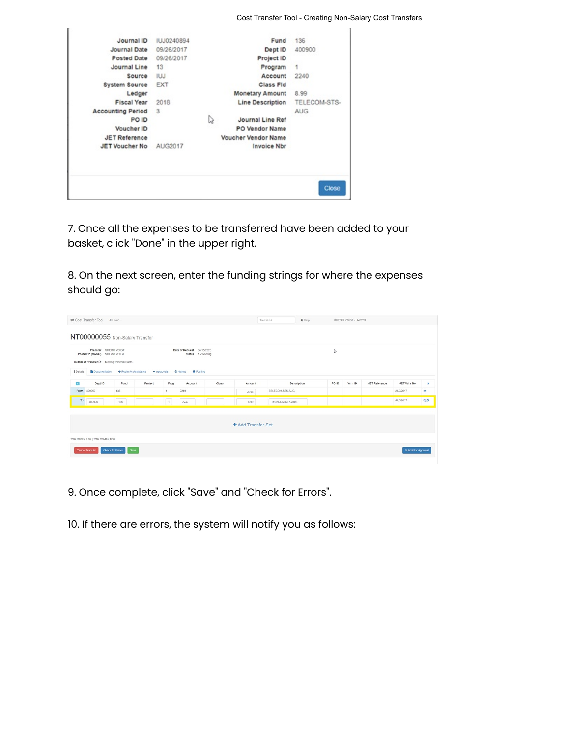| Journal ID               | <b>IUJ0240894</b> |   | Fund                    | 136          |
|--------------------------|-------------------|---|-------------------------|--------------|
| Journal Date             | 09/26/2017        |   | Dept ID                 | 400900       |
| Posted Date              | 09/26/2017        |   | Project ID              |              |
| Journal Line             | 13                |   | Program                 | $\mathbf{1}$ |
| Source                   | <b>IUJ</b>        |   | Account                 | 2240         |
| System Source            | EXT               |   | Class Fld               |              |
| Ledger                   |                   |   | <b>Monetary Amount</b>  | 8.99         |
| <b>Fiscal Year</b>       | 2018              |   | <b>Line Description</b> | TELECOM-STS- |
| <b>Accounting Period</b> | 3                 |   |                         | <b>AUG</b>   |
| PO ID                    |                   | ↳ | Journal Line Ref        |              |
| Voucher ID               |                   |   | PO Vendor Name          |              |
| <b>JET Reference</b>     |                   |   | Voucher Vendor Name     |              |
| <b>JET Voucher No</b>    | AUG2017           |   | <b>Invoice Nbr</b>      |              |
|                          |                   |   |                         |              |
|                          |                   |   |                         | <b>Close</b> |

7. Once all the expenses to be transferred have been added to your basket, click "Done" in the upper right.

8. On the next screen, enter the funding strings for where the expenses should go:

|                        | <b><math>\rightleftharpoons</math></b> Cost Transfer Tool                                                               | # Home                |                                     |           |                                                                                   |       |                    | Transfer #      | @ Help | SHERRI VOIGT - UWSYS |                      |                     |    |
|------------------------|-------------------------------------------------------------------------------------------------------------------------|-----------------------|-------------------------------------|-----------|-----------------------------------------------------------------------------------|-------|--------------------|-----------------|--------|----------------------|----------------------|---------------------|----|
|                        | NT00000055 Non-Salary Transfer                                                                                          |                       |                                     |           |                                                                                   |       |                    |                 |        |                      |                      |                     |    |
| \$ Details             | Preparer SHERRI VOIGT<br>Routed to (Owner) SHERRI VOIGT<br>Details of Transfer Cf Moving Telecom Costs<br>Documentation |                       | A Route for Assistance<br>Approvals |           | Date of Request 04/15/2020<br>Status 1 - Working<br>C History<br><b>R</b> Posting |       |                    |                 | ₿      |                      |                      |                     |    |
| O                      | Dept ID                                                                                                                 | Fund                  | Project                             | Prog      | Account                                                                           | Class | Amount             | Description     | PO ID  | Vchr ID              | <b>JET Reference</b> | JET Vchr No         | ×  |
| From                   | 400900                                                                                                                  | 136                   |                                     |           | 2240                                                                              |       | $-8.99$            | TELECOM-STS-AUG |        |                      |                      | AUG2017             | ÷  |
| $\mathsf{To}$          | 400900                                                                                                                  | 136                   |                                     | $\vert$ 1 | 2240                                                                              |       | 8.99               | TELECOM-STS-AUG |        |                      |                      | AUG2017             | 20 |
|                        |                                                                                                                         |                       |                                     |           |                                                                                   |       | + Add Transfer Set |                 |        |                      |                      |                     |    |
|                        | Total Debits: 8.99   Total Credits: 8.99                                                                                |                       |                                     |           |                                                                                   |       |                    |                 |        |                      |                      |                     |    |
| <b>Cancel Transfer</b> |                                                                                                                         | Check for Errors Save |                                     |           |                                                                                   |       |                    |                 |        |                      |                      | Submit for Approval |    |

9. Once complete, click "Save" and "Check for Errors".

10. If there are errors, the system will notify you as follows: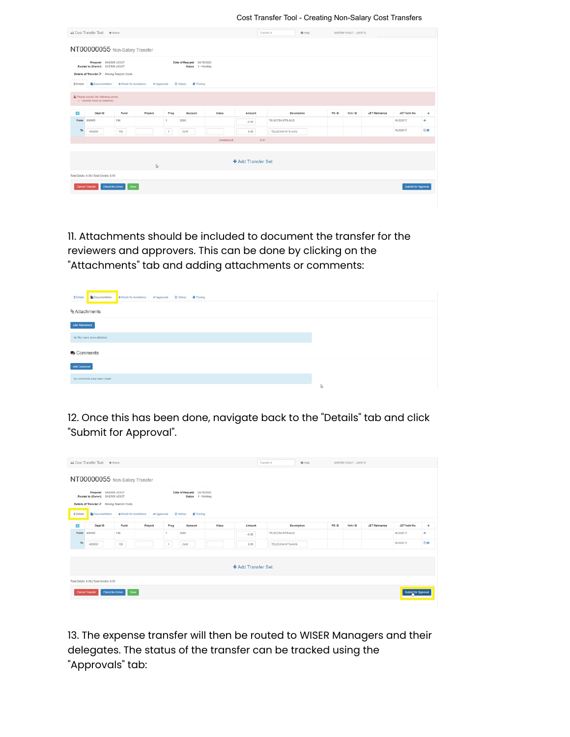Cost Transfer Tool - Creating Non-Salary Cost Transfers

|              | Cost Transfer Tool # Home                                                         |                                |                                                            |      |                                                  |            |                    | Transfer #      | @ Help      |       | SHERRI VOIGT - UWSYS |                      |                            |                |
|--------------|-----------------------------------------------------------------------------------|--------------------------------|------------------------------------------------------------|------|--------------------------------------------------|------------|--------------------|-----------------|-------------|-------|----------------------|----------------------|----------------------------|----------------|
|              |                                                                                   | NT00000055 Non-Salary Transfer |                                                            |      |                                                  |            |                    |                 |             |       |                      |                      |                            |                |
|              | Preparer SHERRI VOIGT<br>Routed to (Owner) SHERRI VOIGT                           |                                |                                                            |      | Date of Request 04/15/2020<br>Status 1 - Working |            |                    |                 |             |       |                      |                      |                            |                |
|              | Details of Transfer & Moving Telecom Costs                                        |                                |                                                            |      |                                                  |            |                    |                 |             |       |                      |                      |                            |                |
| \$ Details   |                                                                                   |                                | Documentation > Route for Assistance > Approvals © History |      | Posting                                          |            |                    |                 |             |       |                      |                      |                            |                |
| $\mathbf{L}$ | A Please correct the following errors:<br>- Transfer must be balanced.<br>Dept ID | Fund                           | Project                                                    | Prog | Account                                          | Class      | Amount             |                 | Description | PO ID | Vchr ID              | <b>JET Reference</b> | JET Vchr No                | $\pmb{\times}$ |
| From         | 400900                                                                            | 136                            |                                                            | ٠    | 2240                                             |            | $-8.99$            | TELECOM-STS-AUG |             |       |                      |                      | AUG2017                    | $\circ$        |
| To           | 400900                                                                            | 136                            |                                                            | 1    | 2240                                             |            | 8.98               | TELECOM-STS-AUG |             |       |                      |                      | AUG2017                    | 20             |
|              |                                                                                   |                                |                                                            |      |                                                  | Unbalanced | $-0.01$            |                 |             |       |                      |                      |                            |                |
|              |                                                                                   |                                |                                                            |      |                                                  |            |                    |                 |             |       |                      |                      |                            |                |
|              |                                                                                   |                                | S.                                                         |      |                                                  |            | + Add Transfer Set |                 |             |       |                      |                      |                            |                |
|              | Total Debits: 8.98   Total Credits: 8.99                                          |                                |                                                            |      |                                                  |            |                    |                 |             |       |                      |                      |                            |                |
|              | <b>Cancel Transfer</b>                                                            | Check for Errors Save          |                                                            |      |                                                  |            |                    |                 |             |       |                      |                      | <b>Submit for Approval</b> |                |
|              |                                                                                   |                                |                                                            |      |                                                  |            |                    |                 |             |       |                      |                      |                            |                |

11. Attachments should be included to document the transfer for the reviewers and approvers. This can be done by clicking on the "Attachments" tab and adding attachments or comments:

| BiDocumentation → Route for Assistance → Approvals © History # Posting<br>S Details |   |
|-------------------------------------------------------------------------------------|---|
| <b>&amp; Attachments</b>                                                            |   |
| Add Attachment                                                                      |   |
| No files have been attached.                                                        |   |
| Comments                                                                            |   |
| Add Comment                                                                         |   |
| No comments have been made.                                                         |   |
|                                                                                     | Þ |

12. Once this has been done, navigate back to the "Details" tab and click "Submit for Approval".

|            | Cost Transfer Tool # Home                                                                                              |                          |                                   |            |                                                                          |       |                    | Transfer #      | $\Theta$ Help |       | SHERRI VOIGT - UWSYS |                      |                     |    |
|------------|------------------------------------------------------------------------------------------------------------------------|--------------------------|-----------------------------------|------------|--------------------------------------------------------------------------|-------|--------------------|-----------------|---------------|-------|----------------------|----------------------|---------------------|----|
|            | NT00000055 Non-Salary Transfer                                                                                         |                          |                                   |            |                                                                          |       |                    |                 |               |       |                      |                      |                     |    |
| \$ Details | Preparer SHERRI VOIGT<br>Routed to (Owner) SHERRI VOIGT<br>Details of Transfer & Moving Telecom Costs<br>Documentation |                          | Route for Assistance<br>Approvals |            | Date of Request 04/15/2020<br>Status 1 - Working<br>C History<br>Posting |       |                    |                 |               |       |                      |                      |                     |    |
| O          | Dept ID                                                                                                                | Fund                     | Project                           | Prog       | Account                                                                  | Class | Amount             |                 | Description   | PO ID | Vchr ID              | <b>JET Reference</b> | JET Vchr No         | ×  |
| From       | 400900                                                                                                                 | 136                      |                                   | ٠.         | 2240                                                                     |       | $-8.99$            | TELECOM-STS-AUG |               |       |                      |                      | <b>AUG2017</b>      | ÷  |
| To         | 400900                                                                                                                 | 136                      |                                   | $\vert$ 1. | 2240                                                                     |       | 8.99               | TELECOM-STS-AUG |               |       |                      |                      | AUG2017             | 00 |
|            |                                                                                                                        |                          |                                   |            |                                                                          |       | + Add Transfer Set |                 |               |       |                      |                      |                     |    |
|            | Total Debits: 8.99   Total Credits: 8.99<br><b>Cancel Transfer</b>                                                     | Save<br>Check for Errors |                                   |            |                                                                          |       |                    |                 |               |       |                      |                      | Submit for Approval |    |

13. The expense transfer will then be routed to WISER Managers and their delegates. The status of the transfer can be tracked using the "Approvals" tab: